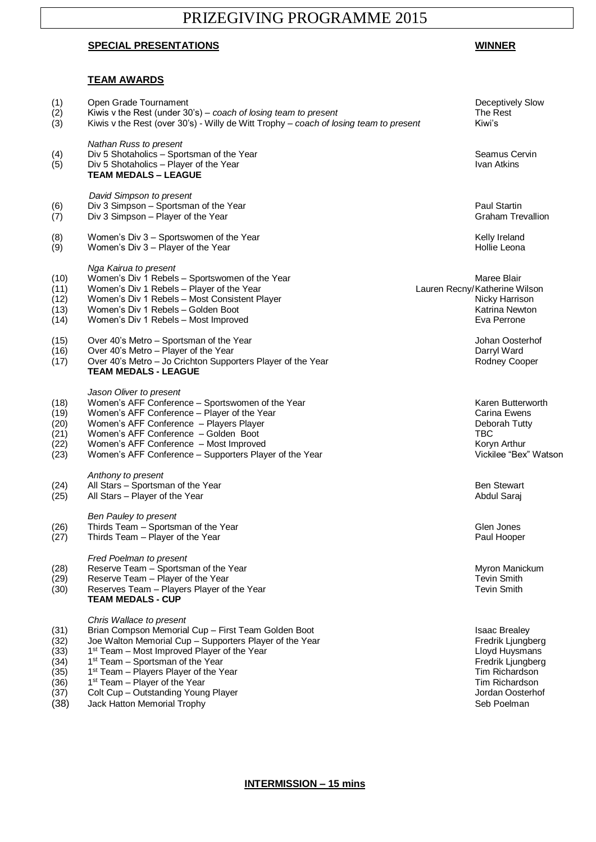# PRIZEGIVING PROGRAMME 2015

## **SPECIAL PRESENTATIONS WINNER**

#### **TEAM AWARDS**

### (1) Open Grade Tournament<br>
(2) Kiwis v the Rest (under 30's) – coach of losing team to present<br>
(3) Kiwis v the Rest (over 30's) - Willy de Witt Trophy – coach of losing team to present Kiwi's Kiwis v the Rest (under 30's) – *coach of losing team to present* The Rest The Rest Kiwis v the Rest (over 30's) - Willy de Witt Trophy – *coach of losing team to present* Kiwi's *Nathan Russ to present* (4) Div 5 Shotaholics – Sportsman of the Year Seamus Cervin Cervin Cervin Cervin Cervin Cervin Cervin Cervin Cervin<br>(5) Div 5 Shotaholics – Player of the Year Seamus Cervin Cervin Cervin Cervin Cervin Cervin Cervin Cervin  $(5)$  Div 5 Shotaholics – Player of the Year **TEAM MEDALS – LEAGUE** *David Simpson to present* (6) Div 3 Simpson – Sportsman of the Year Paul Startin Number of the Year Paul Startin Control of the Year Paul Startin Control of the Year Paul Startin Creation Creation Creation Creation Creation Creation Creation Creati  $(7)$  Div 3 Simpson – Player of the Year (8) Urbit Women's Div 3 – Sportswomen of the Year Shangham Shanes and Shangham Melly Ireland<br>(9) Women's Div 3 – Player of the Year Shangham Shanes Shanes (9) (Hollie Leona Women's Div  $3$  – Player of the Year *Nga Kairua to present* (10) Women's Div 1 Rebels – Sportswomen of the Year (10) (10) Maree Blair Maree Blair<br>(11) Women's Div 1 Rebels – Player of the Year (11) (11) University/Katherine Wilson Women's Div 1 Rebels – Player of the Year (12) Momen's Div 1 Rebels – Most Consistent Player (12) (12) Nicky Harrison<br>(13) Momen's Div 1 Rebels – Golden Boot (13) Women's Div 1 Rebels – Golden Boot Katrina Newton  $(14)$  Women's Div 1 Rebels – Most Improved (15) Over 40's Metro – Sportsman of the Year Johan Oosterhof Johan Oosterhof (16) Over 40's Metro – Player of the Year Darryl Ward (17) Over 40's Metro – Jo Crichton Supporters Player of the Year Rodney Cooper Rodney Cooper **TEAM MEDALS - LEAGUE** *Jason Oliver to present* (18) Women's AFF Conference – Sportswomen of the Year Karen Butterworth<br>(19) Women's AFF Conference – Plaver of the Year Carina Ewens  $(19)$  Women's AFF Conference – Player of the Year (20) Momen's AFF Conference – Players Player (20) Deborah Tutty Deborah Tutty<br>(21) Momen's AFF Conference – Golden Boot (21) Women's AFF Conference – Golden Boot<br>(22) Women's AFF Conference – Most Improved<br>
(22) Women's AFF Conference – Most Improved (22) Momen's AFF Conference – Most Improved Koryn Arthur New York and Koryn Arthur (23) Women's AFF Conference – Supporters Player of the Year Vickilee "Bex" Watson *Anthony to present* (24) All Stars – Sportsman of the Year Ben Stewart Ben Stewart Ben Stewart (25) All Stars – Player of the Year Abdul Saraj Abdul Saraj Abdul Saraj Abdul Saraj *Ben Pauley to present* (26) Thirds Team – Sportsman of the Year Glen Jones Glen Jones Glen Jones (27) Thirds Team – Player of the Year Paul Hooper Paul Hooper Paul Hooper *Fred Poelman to present* (28) Reserve Team – Sportsman of the Year Myron Manickum (28) Reserve Team – Sportsman of the Year Myron Manickum<br>(29) Reserve Team – Plaver of the Year Myron Manickum (29) Reserve Tevin Smith (29) Reserve Team – Player of the Year Team – Tevin Smith (29) Tevin Smith<br>(30) Reserves Team – Players Player of the Year Text of the Year Tevin Smith  $(30)$  Reserves Team – Players Player of the Year **TEAM MEDALS - CUP** *Chris Wallace to present* (31) Brian Compson Memorial Cup – First Team Golden Boot Isaac Brealey<br>(32) Joe Walton Memorial Cup – Supporters Player of the Year Fredrik Ljungberg (32) Joe Walton Memorial Cup – Supporters Player of the Year Fredrick Liungberg<br>(33) 1<sup>st</sup> Team – Most Improved Player of the Year Fredrik Liungberg (33) 1<sup>st</sup> Team – Most Improved Player of the Year  $(33)$ 1<sup>st</sup> Team – Most Improved Player of the Year **Little State 19th Control of the Year** Lloyd Huysmans Lloyd Huysmans<br>1<sup>st</sup> Team – Sportsman of the Year Little Year Little State 19th Control of the Year Little State 19th Con  $(34)$ 1<sup>st</sup> Team – Sportsman of the Year Fredrik Ljungber (1999) of the Year Fredrik Ljungberg (1999) of the Year Fredrik Ljungberg (1999) of the Year Fredrik Ljungberg (1999) of the Year Fredrik Ljungberg (1999) of the Year Fre  $(35)$  $1<sup>st</sup>$  Team – Players Player of the Year  $(36)$ 1<sup>st</sup> Team – Player of the Year Tim Richardson (37) Colt Cup – Outstanding Young Player Jordan Oosterhof Jordan Oosterhof (38) Jack Hatton Memorial Trophy Seb Poelman Seb Poelman Seb Poelman